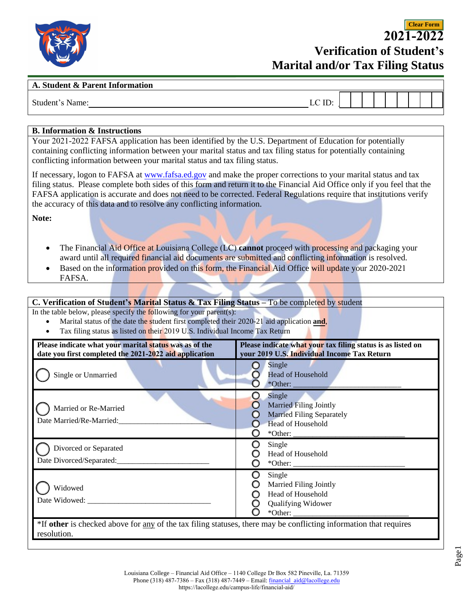

**2021-2022 Verification of Student's Marital and/or Tax Filing Status**

**Clear Form**

#### **A. Student & Parent Information**

| Student<br>Name: | $\Pi$<br>ய<br>∽ |  |  |  |  |  |
|------------------|-----------------|--|--|--|--|--|
|                  |                 |  |  |  |  |  |

#### **B. Information & Instructions**

Your 2021-2022 FAFSA application has been identified by the U.S. Department of Education for potentially containing conflicting information between your marital status and tax filing status for potentially containing conflicting information between your marital status and tax filing status.

If necessary, logon to FAFSA at [www.fafsa.ed.gov](http://www.fafsa.ed.gov/) and make the proper corrections to your marital status and tax filing status. Please complete both sides of this form and return it to the Financial Aid Offi[ce only if you feel that the](https://dream.csac.ca.gov/)  FAFSA application is accurate and does not need to be corrected. Federal Regulations require that institutions verify the accuracy of this data and to resolve any conflicting information.

**Note:** 

- The Financial Aid Office at Louisiana College (LC) **cannot** proceed with processing and packaging your award until all required financial aid documents are submitted and conflicting information is resolved.
- Based on the information provided on this form, the Financial Aid Office will update your 2020-2021 FAFSA.

## **C. Verification of Student's Marital Status & Tax Filing Status –** To be completed by student

In the table below, please specify the following for your parent(s):

- Marital status of the date the student first completed their 2020-21 aid application **and**,
- Tax filing status as listed on their 2019 U.S. Individual Income Tax Return

| Please indicate what your marital status was as of the<br>date you first completed the 2021-2022 aid application                 | Please indicate what your tax filing status is as listed on<br>your 2019 U.S. Individual Income Tax Return                   |  |  |  |  |
|----------------------------------------------------------------------------------------------------------------------------------|------------------------------------------------------------------------------------------------------------------------------|--|--|--|--|
| Single or Unmarried                                                                                                              | Single<br>Head of Household<br>$*$ Other: $\_\_$                                                                             |  |  |  |  |
| Married or Re-Married<br>Date Married/Re-Married:                                                                                | Single<br><b>Married Filing Jointly</b><br><b>Married Filing Separately</b><br><b>Head of Household</b><br>$*$ Other: $_{-}$ |  |  |  |  |
| Divorced or Separated<br>Date Divorced/Separated:                                                                                | Single<br>Head of Household                                                                                                  |  |  |  |  |
| Widowed                                                                                                                          | Single<br><b>Married Filing Jointly</b><br>Head of Household<br><b>Qualifying Widower</b><br>$*Other:$                       |  |  |  |  |
| *If other is checked above for any of the tax filing statuses, there may be conflicting information that requires<br>resolution. |                                                                                                                              |  |  |  |  |